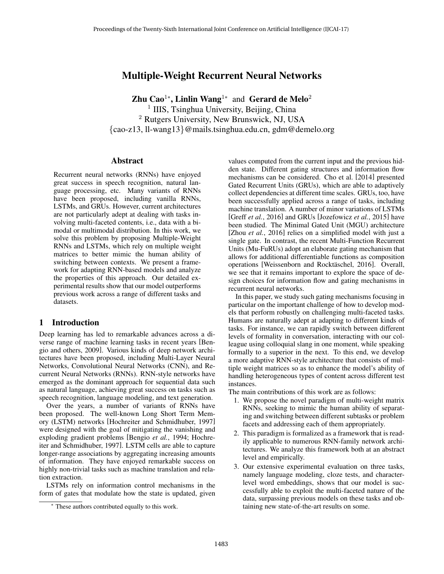# Multiple-Weight Recurrent Neural Networks

**Zhu Cao<sup>1</sup>\*, Linlin Wang<sup>1\*</sup>** and Gerard de Melo<sup>2</sup> <sup>1</sup> IIIS, Tsinghua University, Beijing, China <sup>2</sup> Rutgers University, New Brunswick, NJ, USA {cao-z13, ll-wang13}@mails.tsinghua.edu.cn, gdm@demelo.org

### Abstract

Recurrent neural networks (RNNs) have enjoyed great success in speech recognition, natural language processing, etc. Many variants of RNNs have been proposed, including vanilla RNNs, LSTMs, and GRUs. However, current architectures are not particularly adept at dealing with tasks involving multi-faceted contents, i.e., data with a bimodal or multimodal distribution. In this work, we solve this problem by proposing Multiple-Weight RNNs and LSTMs, which rely on multiple weight matrices to better mimic the human ability of switching between contexts. We present a framework for adapting RNN-based models and analyze the properties of this approach. Our detailed experimental results show that our model outperforms previous work across a range of different tasks and datasets.

# 1 Introduction

Deep learning has led to remarkable advances across a diverse range of machine learning tasks in recent years [Bengio and others, 2009]. Various kinds of deep network architectures have been proposed, including Multi-Layer Neural Networks, Convolutional Neural Networks (CNN), and Recurrent Neural Networks (RNNs). RNN-style networks have emerged as the dominant approach for sequential data such as natural language, achieving great success on tasks such as speech recognition, language modeling, and text generation.

Over the years, a number of variants of RNNs have been proposed. The well-known Long Short Term Memory (LSTM) networks [Hochreiter and Schmidhuber, 1997] were designed with the goal of mitigating the vanishing and exploding gradient problems [Bengio *et al.*, 1994; Hochreiter and Schmidhuber, 1997]. LSTM cells are able to capture longer-range associations by aggregating increasing amounts of information. They have enjoyed remarkable success on highly non-trivial tasks such as machine translation and relation extraction.

LSTMs rely on information control mechanisms in the form of gates that modulate how the state is updated, given values computed from the current input and the previous hidden state. Different gating structures and information flow mechanisms can be considered. Cho et al. [2014] presented Gated Recurrent Units (GRUs), which are able to adaptively collect dependencies at different time scales. GRUs, too, have been successfully applied across a range of tasks, including machine translation. A number of minor variations of LSTMs [Greff *et al.*, 2016] and GRUs [Jozefowicz *et al.*, 2015] have been studied. The Minimal Gated Unit (MGU) architecture [Zhou *et al.*, 2016] relies on a simplified model with just a single gate. In contrast, the recent Multi-Function Recurrent Units (Mu-FuRUs) adopt an elaborate gating mechanism that allows for additional differentiable functions as composition operations [Weissenborn and Rocktäschel, 2016]. Overall, we see that it remains important to explore the space of design choices for information flow and gating mechanisms in recurrent neural networks.

In this paper, we study such gating mechanisms focusing in particular on the important challenge of how to develop models that perform robustly on challenging multi-faceted tasks. Humans are naturally adept at adapting to different kinds of tasks. For instance, we can rapidly switch between different levels of formality in conversation, interacting with our colleague using colloquial slang in one moment, while speaking formally to a superior in the next. To this end, we develop a more adaptive RNN-style architecture that consists of multiple weight matrices so as to enhance the model's ability of handling heterogeneous types of content across different test instances.

The main contributions of this work are as follows:

- 1. We propose the novel paradigm of multi-weight matrix RNNs, seeking to mimic the human ability of separating and switching between different subtasks or problem facets and addressing each of them appropriately.
- 2. This paradigm is formalized as a framework that is readily applicable to numerous RNN-family network architectures. We analyze this framework both at an abstract level and empirically.
- 3. Our extensive experimental evaluation on three tasks, namely language modeling, cloze tests, and characterlevel word embeddings, shows that our model is successfully able to exploit the multi-faceted nature of the data, surpassing previous models on these tasks and obtaining new state-of-the-art results on some.

These authors contributed equally to this work.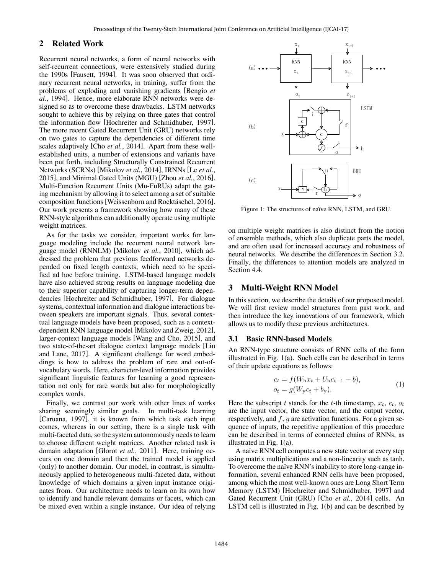## 2 Related Work

Recurrent neural networks, a form of neural networks with self-recurrent connections, were extensively studied during the 1990s [Fausett, 1994]. It was soon observed that ordinary recurrent neural networks, in training, suffer from the problems of exploding and vanishing gradients [Bengio *et al.*, 1994]. Hence, more elaborate RNN networks were designed so as to overcome these drawbacks. LSTM networks sought to achieve this by relying on three gates that control the information flow [Hochreiter and Schmidhuber, 1997]. The more recent Gated Recurrent Unit (GRU) networks rely on two gates to capture the dependencies of different time scales adaptively [Cho *et al.*, 2014]. Apart from these wellestablished units, a number of extensions and variants have been put forth, including Structurally Constrained Recurrent Networks (SCRNs) [Mikolov *et al.*, 2014], IRNNs [Le *et al.*, 2015], and Minimal Gated Units (MGU) [Zhou *et al.*, 2016]. Multi-Function Recurrent Units (Mu-FuRUs) adapt the gating mechanism by allowing it to select among a set of suitable composition functions [Weissenborn and Rocktäschel, 2016]. Our work presents a framework showing how many of these RNN-style algorithms can additionally operate using multiple weight matrices.

As for the tasks we consider, important works for language modeling include the recurrent neural network language model (RNNLM) [Mikolov *et al.*, 2010], which addressed the problem that previous feedforward networks depended on fixed length contexts, which need to be specified ad hoc before training. LSTM-based language models have also achieved strong results on language modeling due to their superior capability of capturing longer-term dependencies [Hochreiter and Schmidhuber, 1997]. For dialogue systems, contextual information and dialogue interactions between speakers are important signals. Thus, several contextual language models have been proposed, such as a contextdependent RNN language model [Mikolov and Zweig, 2012], larger-context language models [Wang and Cho, 2015], and two state-of-the-art dialogue context language models [Liu and Lane, 2017]. A significant challenge for word embeddings is how to address the problem of rare and out-ofvocabulary words. Here, character-level information provides significant linguistic features for learning a good representation not only for rare words but also for morphologically complex words.

Finally, we contrast our work with other lines of works sharing seemingly similar goals. In multi-task learning [Caruana, 1997], it is known from which task each input comes, whereas in our setting, there is a single task with multi-faceted data, so the system autonomously needs to learn to choose different weight matrices. Another related task is domain adaptation [Glorot *et al.*, 2011]. Here, training occurs on one domain and then the trained model is applied (only) to another domain. Our model, in contrast, is simultaneously applied to heterogeneous multi-faceted data, without knowledge of which domains a given input instance originates from. Our architecture needs to learn on its own how to identify and handle relevant domains or facets, which can be mixed even within a single instance. Our idea of relying



Figure 1: The structures of naïve RNN, LSTM, and GRU.

on multiple weight matrices is also distinct from the notion of ensemble methods, which also duplicate parts the model, and are often used for increased accuracy and robustness of neural networks. We describe the differences in Section 3.2. Finally, the differences to attention models are analyzed in Section 4.4.

#### 3 Multi-Weight RNN Model

In this section, we describe the details of our proposed model. We will first review model structures from past work, and then introduce the key innovations of our framework, which allows us to modify these previous architectures.

#### 3.1 Basic RNN-based Models

An RNN-type structure consists of RNN cells of the form illustrated in Fig. 1(a). Such cells can be described in terms of their update equations as follows:

$$
c_t = f(W_h x_t + U_h c_{t-1} + b),
$$
  
\n
$$
o_t = g(W_y c_t + b_y).
$$
\n(1)

Here the subscript t stands for the t-th timestamp,  $x_t$ ,  $c_t$ ,  $o_t$ are the input vector, the state vector, and the output vector, respectively, and  $f$ ,  $g$  are activation functions. For a given sequence of inputs, the repetitive application of this procedure can be described in terms of connected chains of RNNs, as illustrated in Fig. 1(a).

A naïve RNN cell computes a new state vector at every step using matrix multiplications and a non-linearity such as tanh. To overcome the naïve RNN's inability to store long-range information, several enhanced RNN cells have been proposed, among which the most well-known ones are Long Short Term Memory (LSTM) [Hochreiter and Schmidhuber, 1997] and Gated Recurrent Unit (GRU) [Cho *et al.*, 2014] cells. An LSTM cell is illustrated in Fig. 1(b) and can be described by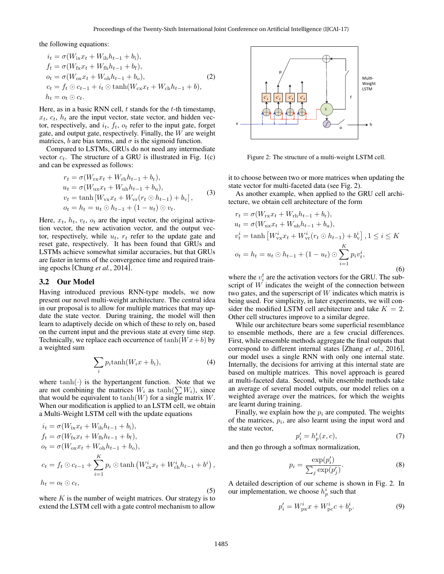the following equations:

$$
i_{t} = \sigma(W_{ix}x_{t} + W_{ih}h_{t-1} + b_{i}),
$$
  
\n
$$
f_{t} = \sigma(W_{fx}x_{t} + W_{fh}h_{t-1} + b_{f}),
$$
  
\n
$$
o_{t} = \sigma(W_{ox}x_{t} + W_{oh}h_{t-1} + b_{o}),
$$
  
\n
$$
c_{t} = f_{t} \odot c_{t-1} + i_{t} \odot \tanh(W_{cx}x_{t} + W_{ch}h_{t-1} + b),
$$
  
\n
$$
h_{t} = o_{t} \odot c_{t}.
$$
\n(2)

Here, as in a basic RNN cell,  $t$  stands for the  $t$ -th timestamp,  $x_t$ ,  $c_t$ ,  $h_t$  are the input vector, state vector, and hidden vector, respectively, and  $i_t$ ,  $f_t$ ,  $o_t$  refer to the input gate, forget gate, and output gate, respectively. Finally, the  $W$  are weight matrices, b are bias terms, and  $\sigma$  is the sigmoid function.

Compared to LSTMs, GRUs do not need any intermediate vector  $c_t$ . The structure of a GRU is illustrated in Fig. 1(c) and can be expressed as follows:

$$
r_t = \sigma(W_{\text{rx}}x_t + W_{\text{rh}}h_{t-1} + b_{\text{r}}),
$$
  
\n
$$
u_t = \sigma(W_{\text{ux}}x_t + W_{\text{uh}}h_{t-1} + b_{\text{u}}),
$$
  
\n
$$
v_t = \tanh[W_{\text{vx}}x_t + W_{\text{vr}}(r_t \odot h_{t-1}) + b_{\text{v}}],
$$
  
\n
$$
o_t = h_t = u_t \odot h_{t-1} + (1 - u_t) \odot v_t.
$$
\n(3)

Here,  $x_t$ ,  $h_t$ ,  $v_t$ ,  $o_t$  are the input vector, the original activation vector, the new activation vector, and the output vector, respectively, while  $u_t$ ,  $r_t$  refer to the update gate and reset gate, respectively. It has been found that GRUs and LSTMs achieve somewhat similar accuracies, but that GRUs are faster in terms of the convergence time and required training epochs [Chung *et al.*, 2014].

#### 3.2 Our Model

Having introduced previous RNN-type models, we now present our novel multi-weight architecture. The central idea in our proposal is to allow for multiple matrices that may update the state vector. During training, the model will then learn to adaptively decide on which of these to rely on, based on the current input and the previous state at every time step. Technically, we replace each occurrence of  $tanh(Wx+b)$  by a weighted sum

$$
\sum_{i} p_i \tanh(W_i x + b_i), \tag{4}
$$

where  $tanh(\cdot)$  is the hypertangent function. Note that we are not combining the matrices  $W_i$  as  $\tanh(\sum W_i)$ , since that would be equivalent to  $tanh(W)$  for a single matrix W. When our modification is applied to an LSTM cell, we obtain a Multi-Weight LSTM cell with the update equations

$$
i_{t} = \sigma(W_{ix}x_{t} + W_{ih}h_{t-1} + b_{i}),
$$
  
\n
$$
f_{t} = \sigma(W_{fx}x_{t} + W_{fh}h_{t-1} + b_{f}),
$$
  
\n
$$
o_{t} = \sigma(W_{ox}x_{t} + W_{oh}h_{t-1} + b_{o}),
$$
  
\n
$$
c_{t} = f_{t} \odot c_{t-1} + \sum_{i=1}^{K} p_{i} \odot \tanh(W_{cx}^{i}x_{t} + W_{ch}^{i}h_{t-1} + b^{i}),
$$
  
\n
$$
h_{t} = o_{t} \odot c_{t},
$$
\n(5)

where  $K$  is the number of weight matrices. Our strategy is to extend the LSTM cell with a gate control mechanism to allow



Figure 2: The structure of a multi-weight LSTM cell.

it to choose between two or more matrices when updating the state vector for multi-faceted data (see Fig. 2).

As another example, when applied to the GRU cell architecture, we obtain cell architecture of the form

$$
r_{t} = \sigma(W_{\text{rx}}x_{t} + W_{\text{rh}}h_{t-1} + b_{\text{r}}),
$$
  
\n
$$
u_{t} = \sigma(W_{\text{ux}}x_{t} + W_{\text{uh}}h_{t-1} + b_{\text{u}}),
$$
  
\n
$$
v_{t}^{i} = \tanh\left[W_{\text{vx}}^{i}x_{t} + W_{\text{vr}}^{i}(r_{t} \odot h_{t-1}) + b_{\text{v}}^{i}\right], 1 \leq i \leq K
$$
  
\n
$$
o_{t} = h_{t} = u_{t} \odot h_{t-1} + (1 - u_{t}) \odot \sum_{i=1}^{K} p_{i}v_{t}^{i},
$$
  
\n(6)

where the  $v_i^t$  are the activation vectors for the GRU. The subscript of W indicates the weight of the connection between two gates, and the superscript of  $W$  indicates which matrix is being used. For simplicity, in later experiments, we will consider the modified LSTM cell architecture and take  $K = 2$ . Other cell structures improve to a similar degree.

While our architecture bears some superficial resemblance to ensemble methods, there are a few crucial differences. First, while ensemble methods aggregate the final outputs that correspond to different internal states [Zhang *et al.*, 2016], our model uses a single RNN with only one internal state. Internally, the decisions for arriving at this internal state are based on multiple matrices. This novel approach is geared at multi-faceted data. Second, while ensemble methods take an average of several model outputs, our model relies on a weighted average over the matrices, for which the weights are learnt during training.

Finally, we explain how the  $p_i$  are computed. The weights of the matrices,  $p_i$ , are also learnt using the input word and the state vector,

$$
p_i' = h_p^i(x, c),\tag{7}
$$

and then go through a softmax normalization,

$$
p_i = \frac{\exp(p'_i)}{\sum_j \exp(p'_j)}.\tag{8}
$$

A detailed description of our scheme is shown in Fig. 2. In our implementation, we choose  $h_p^i$  such that

$$
p_i' = W_{\text{px}}^i x + W_{\text{pc}}^i c + b_{\text{p}}^i. \tag{9}
$$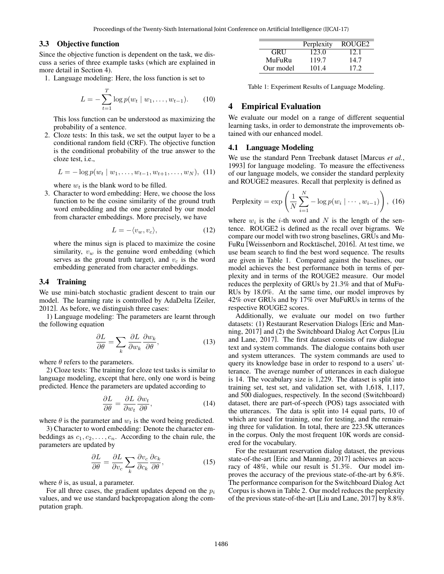#### 3.3 Objective function

Since the objective function is dependent on the task, we discuss a series of three example tasks (which are explained in more detail in Section 4).

1. Language modeling: Here, the loss function is set to

$$
L = -\sum_{t=1}^{T} \log p(w_t \mid w_1, \dots, w_{t-1}). \tag{10}
$$

This loss function can be understood as maximizing the probability of a sentence.

2. Cloze tests: In this task, we set the output layer to be a conditional random field (CRF). The objective function is the conditional probability of the true answer to the cloze test, i.e.,

$$
L = -\log p(w_t \mid w_1, \dots, w_{t-1}, w_{t+1}, \dots, w_N), \quad (11)
$$

where  $w_t$  is the blank word to be filled.

3. Character to word embedding: Here, we choose the loss function to be the cosine similarity of the ground truth word embedding and the one generated by our model from character embeddings. More precisely, we have

$$
L = -\langle v_w, v_c \rangle, \tag{12}
$$

where the minus sign is placed to maximize the cosine similarity,  $v_w$  is the genuine word embedding (which serves as the ground truth target), and  $v_c$  is the word embedding generated from character embeddings.

#### 3.4 Training

We use mini-batch stochastic gradient descent to train our model. The learning rate is controlled by AdaDelta [Zeiler, 2012]. As before, we distinguish three cases:

1) Language modeling: The parameters are learnt through the following equation

$$
\frac{\partial L}{\partial \theta} = \sum_{k} \frac{\partial L}{\partial w_{k}} \frac{\partial w_{k}}{\partial \theta},\tag{13}
$$

where  $\theta$  refers to the parameters.

2) Cloze tests: The training for cloze test tasks is similar to language modeling, except that here, only one word is being predicted. Hence the parameters are updated according to

$$
\frac{\partial L}{\partial \theta} = \frac{\partial L}{\partial w_t} \frac{\partial w_t}{\partial \theta},\tag{14}
$$

where  $\theta$  is the parameter and  $w_t$  is the word being predicted.

3) Character to word embedding: Denote the character embeddings as  $c_1, c_2, \ldots, c_n$ . According to the chain rule, the parameters are updated by

$$
\frac{\partial L}{\partial \theta} = \frac{\partial L}{\partial v_c} \sum_k \frac{\partial v_c}{\partial c_k} \frac{\partial c_k}{\partial \theta},\tag{15}
$$

where  $\theta$  is, as usual, a parameter.

For all three cases, the gradient updates depend on the  $p_i$ values, and we use standard backpropagation along the computation graph.

|            | Perplexity | ROUGE <sub>2</sub> |
|------------|------------|--------------------|
| <b>GRU</b> | 123.0      | 12.1               |
| MuFuRu     | 119.7      | 14.7               |
| Our model  | 101.4      | 17.2               |

Table 1: Experiment Results of Language Modeling.

## 4 Empirical Evaluation

We evaluate our model on a range of different sequential learning tasks, in order to demonstrate the improvements obtained with our enhanced model.

#### 4.1 Language Modeling

We use the standard Penn Treebank dataset [Marcus *et al.*, 1993] for language modeling. To measure the effectiveness of our language models, we consider the standard perplexity and ROUGE2 measures. Recall that perplexity is defined as

Perplexity = 
$$
\exp\left(\frac{1}{N}\sum_{i=1}^{N} -\log p(w_i \mid \cdots, w_{i-1})\right)
$$
, (16)

where  $w_i$  is the *i*-th word and N is the length of the sentence. ROUGE2 is defined as the recall over bigrams. We compare our model with two strong baselines, GRUs and Mu-FuRu [Weissenborn and Rocktäschel, 2016]. At test time, we use beam search to find the best word sequence. The results are given in Table 1. Compared against the baselines, our model achieves the best performance both in terms of perplexity and in terms of the ROUGE2 measure. Our model reduces the perplexity of GRUs by 21.3% and that of MuFu-RUs by 18.0%. At the same time, our model improves by 42% over GRUs and by 17% over MuFuRUs in terms of the respective ROUGE2 scores.

Additionally, we evaluate our model on two further datasets: (1) Restaurant Reservation Dialogs [Eric and Manning, 2017] and (2) the Switchboard Dialog Act Corpus [Liu and Lane, 2017]. The first dataset consists of raw dialogue text and system commands. The dialogue contains both user and system utterances. The system commands are used to query its knowledge base in order to respond to a users' utterance. The average number of utterances in each dialogue is 14. The vocabulary size is 1,229. The dataset is split into training set, test set, and validation set, with 1,618, 1,117, and 500 dialogues, respectively. In the second (Switchboard) dataset, there are part-of-speech (POS) tags associated with the utterances. The data is split into 14 equal parts, 10 of which are used for training, one for testing, and the remaining three for validation. In total, there are 223.5K utterances in the corpus. Only the most frequent 10K words are considered for the vocabulary.

For the restaurant reservation dialog dataset, the previous state-of-the-art [Eric and Manning, 2017] achieves an accuracy of 48%, while our result is 51.3%. Our model improves the accuracy of the previous state-of-the-art by 6.8%. The performance comparison for the Switchboard Dialog Act Corpus is shown in Table 2. Our model reduces the perplexity of the previous state-of-the-art [Liu and Lane, 2017] by 8.8%.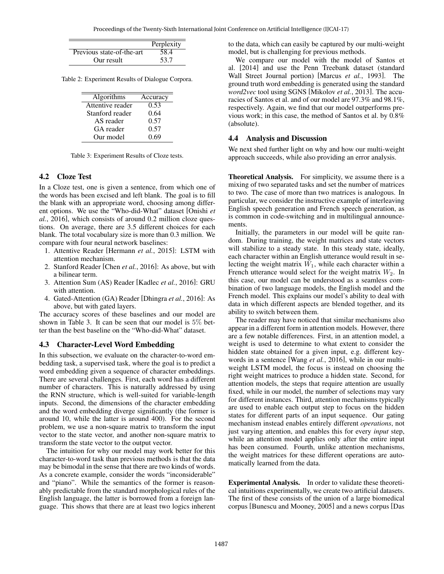|                           | Perplexity |
|---------------------------|------------|
| Previous state-of-the-art | 58.4       |
| Our result                | 53.7       |

Table 2: Experiment Results of Dialogue Corpora.

| Algorithms       | Accuracy |
|------------------|----------|
| Attentive reader | 0.53     |
| Stanford reader  | 0.64     |
| AS reader        | 0.57     |
| GA reader        | 0.57     |
| Our model        | 0.69     |

Table 3: Experiment Results of Cloze tests.

### 4.2 Cloze Test

In a Cloze test, one is given a sentence, from which one of the words has been excised and left blank. The goal is to fill the blank with an appropriate word, choosing among different options. We use the "Who-did-What" dataset [Onishi *et al.*, 2016], which consists of around 0.2 million cloze questions. On average, there are 3.5 different choices for each blank. The total vocabulary size is more than 0.3 million. We compare with four neural network baselines:

- 1. Attentive Reader [Hermann *et al.*, 2015]: LSTM with attention mechanism.
- 2. Stanford Reader [Chen *et al.*, 2016]: As above, but with a bilinear term.
- 3. Attention Sum (AS) Reader [Kadlec *et al.*, 2016]: GRU with attention.
- 4. Gated-Attention (GA) Reader [Dhingra *et al.*, 2016]: As above, but with gated layers.

The accuracy scores of these baselines and our model are shown in Table 3. It can be seen that our model is 5% better than the best baseline on the "Who-did-What" dataset.

#### 4.3 Character-Level Word Embedding

In this subsection, we evaluate on the character-to-word embedding task, a supervised task, where the goal is to predict a word embedding given a sequence of character embeddings. There are several challenges. First, each word has a different number of characters. This is naturally addressed by using the RNN structure, which is well-suited for variable-length inputs. Second, the dimensions of the character embedding and the word embedding diverge significantly (the former is around 10, while the latter is around 400). For the second problem, we use a non-square matrix to transform the input vector to the state vector, and another non-square matrix to transform the state vector to the output vector.

The intuition for why our model may work better for this character-to-word task than previous methods is that the data may be bimodal in the sense that there are two kinds of words. As a concrete example, consider the words "inconsiderable" and "piano". While the semantics of the former is reasonably predictable from the standard morphological rules of the English language, the latter is borrowed from a foreign language. This shows that there are at least two logics inherent to the data, which can easily be captured by our multi-weight model, but is challenging for previous methods.

We compare our model with the model of Santos et al. [2014] and use the Penn Treebank dataset (standard Wall Street Journal portion) [Marcus *et al.*, 1993]. The ground truth word embedding is generated using the standard *word2vec* tool using SGNS [Mikolov *et al.*, 2013]. The accuracies of Santos et al. and of our model are 97.3% and 98.1%, respectively. Again, we find that our model outperforms previous work; in this case, the method of Santos et al. by 0.8% (absolute).

#### 4.4 Analysis and Discussion

We next shed further light on why and how our multi-weight approach succeeds, while also providing an error analysis.

Theoretical Analysis. For simplicity, we assume there is a mixing of two separated tasks and set the number of matrices to two. The case of more than two matrices is analogous. In particular, we consider the instructive example of interleaving English speech generation and French speech generation, as is common in code-switching and in multilingual announcements.

Initially, the parameters in our model will be quite random. During training, the weight matrices and state vectors will stabilize to a steady state. In this steady state, ideally, each character within an English utterance would result in selecting the weight matrix  $W_1$ , while each character within a French utterance would select for the weight matrix  $W_2$ . In this case, our model can be understood as a seamless combination of two language models, the English model and the French model. This explains our model's ability to deal with data in which different aspects are blended together, and its ability to switch between them.

The reader may have noticed that similar mechanisms also appear in a different form in attention models. However, there are a few notable differences. First, in an attention model, a weight is used to determine to what extent to consider the hidden state obtained for a given input, e.g. different keywords in a sentence [Wang *et al.*, 2016], while in our multiweight LSTM model, the focus is instead on choosing the right weight matrices to produce a hidden state. Second, for attention models, the steps that require attention are usually fixed, while in our model, the number of selections may vary for different instances. Third, attention mechanisms typically are used to enable each output step to focus on the hidden states for different parts of an input sequence. Our gating mechanism instead enables entirely different *operations*, not just varying attention, and enables this for every *input* step, while an attention model applies only after the entire input has been consumed. Fourth, unlike attention mechanisms, the weight matrices for these different operations are automatically learned from the data.

Experimental Analysis. In order to validate these theoretical intuitions experimentally, we create two artificial datasets. The first of these consists of the union of a large biomedical corpus [Bunescu and Mooney, 2005] and a news corpus [Das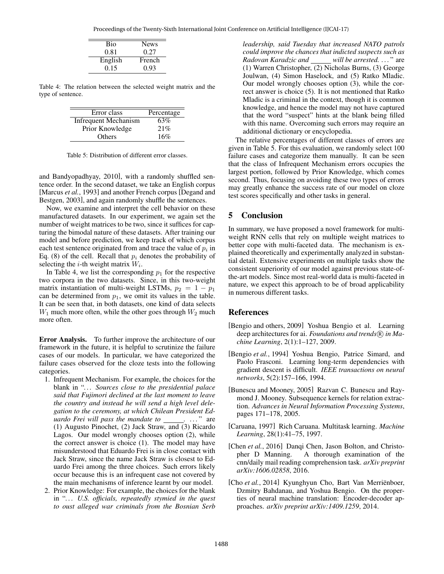| <b>Bio</b> | <b>News</b> |
|------------|-------------|
| 0.81       | 0.27        |
| English    | French      |
| 0.15       | 0.93        |

Table 4: The relation between the selected weight matrix and the type of sentence.

| Error class                 | Percentage |
|-----------------------------|------------|
| <b>Infrequent Mechanism</b> | 63%        |
| Prior Knowledge             | 21%        |
| Others                      | 16%        |

Table 5: Distribution of different error classes.

and Bandyopadhyay, 2010], with a randomly shuffled sentence order. In the second dataset, we take an English corpus [Marcus *et al.*, 1993] and another French corpus [Degand and Bestgen, 2003], and again randomly shuffle the sentences.

Now, we examine and interpret the cell behavior on these manufactured datasets. In our experiment, we again set the number of weight matrices to be two, since it suffices for capturing the bimodal nature of these datasets. After training our model and before prediction, we keep track of which corpus each test sentence originated from and trace the value of  $p_i$  in Eq. (8) of the cell. Recall that  $p_i$  denotes the probability of selecting the *i*-th weight matrix  $W_i$ .

In Table 4, we list the corresponding  $p_1$  for the respective two corpora in the two datasets. Since, in this two-weight matrix instantiation of multi-weight LSTMs,  $p_2 = 1 - p_1$ can be determined from  $p_1$ , we omit its values in the table. It can be seen that, in both datasets, one kind of data selects  $W_1$  much more often, while the other goes through  $W_2$  much more often.

Error Analysis. To further improve the architecture of our framework in the future, it is helpful to scrutinize the failure cases of our models. In particular, we have categorized the failure cases observed for the cloze tests into the following categories.

- 1. Infrequent Mechanism. For example, the choices for the blank in "*. . . Sources close to the presidential palace said that Fujimori declined at the last moment to leave the country and instead he will send a high level delegation to the ceremony, at which Chilean President Eduardo Frei will pass the mandate to* \_\_\_\_\_\_. ..." are (1) Augusto Pinochet, (2) Jack Straw, and (3) Ricardo Lagos. Our model wrongly chooses option (2), while the correct answer is choice (1). The model may have misunderstood that Eduardo Frei is in close contact with Jack Straw, since the name Jack Straw is closest to Eduardo Frei among the three choices. Such errors likely occur because this is an infrequent case not covered by the main mechanisms of inference learnt by our model.
- 2. Prior Knowledge: For example, the choices for the blank in "*. . . U.S. officials, repeatedly stymied in the quest to oust alleged war criminals from the Bosnian Serb*

*leadership, said Tuesday that increased NATO patrols could improve the chances that indicted suspects such as Radovan Karadzic and will be arrested. . . .* " are (1) Warren Christopher, (2) Nicholas Burns, (3) George Joulwan, (4) Simon Haselock, and (5) Ratko Mladic. Our model wrongly chooses option (3), while the correct answer is choice (5). It is not mentioned that Ratko Mladic is a criminal in the context, though it is common knowledge, and hence the model may not have captured that the word "suspect" hints at the blank being filled with this name. Overcoming such errors may require an additional dictionary or encyclopedia.

The relative percentages of different classes of errors are given in Table 5. For this evaluation, we randomly select 100 failure cases and categorize them manually. It can be seen that the class of Infrequent Mechanism errors occupies the largest portion, followed by Prior Knowledge, which comes second. Thus, focusing on avoiding these two types of errors may greatly enhance the success rate of our model on cloze test scores specifically and other tasks in general.

# 5 Conclusion

In summary, we have proposed a novel framework for multiweight RNN cells that rely on multiple weight matrices to better cope with multi-faceted data. The mechanism is explained theoretically and experimentally analyzed in substantial detail. Extensive experiments on multiple tasks show the consistent superiority of our model against previous state-ofthe-art models. Since most real-world data is multi-faceted in nature, we expect this approach to be of broad applicability in numerous different tasks.

## References

- [Bengio and others, 2009] Yoshua Bengio et al. Learning deep architectures for ai. *Foundations and trends*( $\widehat{R}$ ) in *Machine Learning*, 2(1):1–127, 2009.
- [Bengio *et al.*, 1994] Yoshua Bengio, Patrice Simard, and Paolo Frasconi. Learning long-term dependencies with gradient descent is difficult. *IEEE transactions on neural networks*, 5(2):157–166, 1994.
- [Bunescu and Mooney, 2005] Razvan C. Bunescu and Raymond J. Mooney. Subsequence kernels for relation extraction. *Advances in Neural Information Processing Systems*, pages 171–178, 2005.
- [Caruana, 1997] Rich Caruana. Multitask learning. *Machine Learning*, 28(1):41–75, 1997.
- [Chen *et al.*, 2016] Danqi Chen, Jason Bolton, and Christopher D Manning. A thorough examination of the cnn/daily mail reading comprehension task. *arXiv preprint arXiv:1606.02858*, 2016.
- [Cho et al., 2014] Kyunghyun Cho, Bart Van Merriënboer, Dzmitry Bahdanau, and Yoshua Bengio. On the properties of neural machine translation: Encoder-decoder approaches. *arXiv preprint arXiv:1409.1259*, 2014.